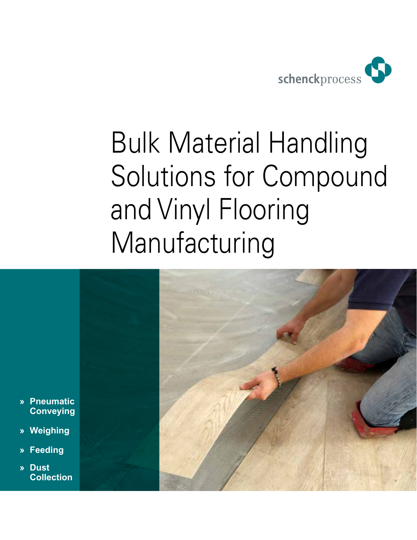

## Bulk Material Handling Solutions for Compound and Vinyl Flooring Manufacturing

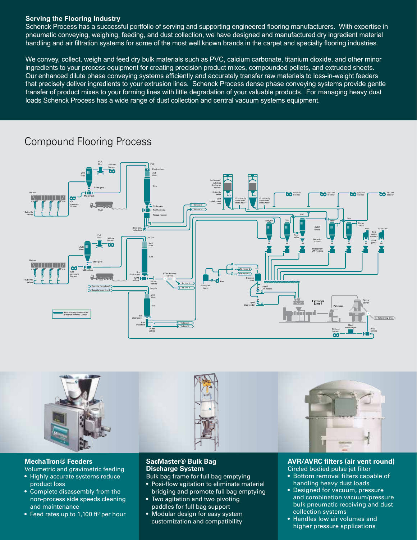#### **Serving the Flooring Industry**

Schenck Process has a successful portfolio of serving and supporting engineered flooring manufacturers. With expertise in pneumatic conveying, weighing, feeding, and dust collection, we have designed and manufactured dry ingredient material handling and air filtration systems for some of the most well known brands in the carpet and specialty flooring industries.

We convey, collect, weigh and feed dry bulk materials such as PVC, calcium carbonate, titanium dioxide, and other minor ingredients to your process equipment for creating precision product mixes, compounded pellets, and extruded sheets. Our enhanced dilute phase conveying systems efficiently and accurately transfer raw materials to loss-in-weight feeders that precisely deliver ingredients to your extrusion lines. Schenck Process dense phase conveying systems provide gentle transfer of product mixes to your forming lines with little degradation of your valuable products. For managing heavy dust loads Schenck Process has a wide range of dust collection and central vacuum systems equipment.

### Compound Flooring Process





#### **MechaTron® Feeders**

Volumetric and gravimetric feeding

- Highly accurate systems reduce product loss
- Complete disassembly from the non-process side speeds cleaning and maintenance
- Feed rates up to 1,100 ft<sup>3</sup> per hour

#### **SacMaster® Bulk Bag Discharge System**

Bulk bag frame for full bag emptying

- Posi-flow agitation to eliminate material bridging and promote full bag emptying
- Two agitation and two pivoting paddles for full bag support
- Modular design for easy system customization and compatibility

#### **AVR/AVRC filters (air vent round)** Circled bodied pulse jet filter

- Bottom removal filters capable of handling heavy dust loads
- Designed for vacuum, pressure and combination vacuum/pressure bulk pneumatic receiving and dust collection systems
- Handles low air volumes and higher pressure applications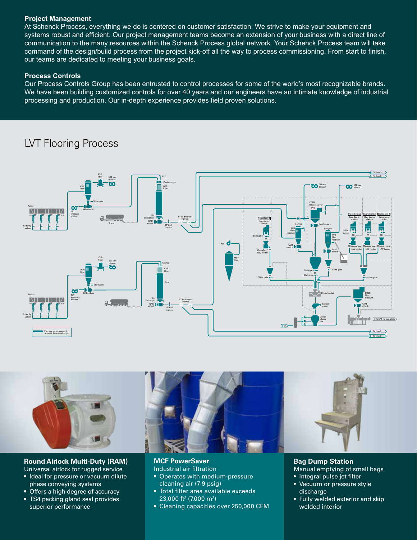#### **Project Management**

At Schenck Process, everything we do is centered on customer satisfaction. We strive to make your equipment and systems robust and efficient. Our project management teams become an extension of your business with a direct line of communication to the many resources within the Schenck Process global network. Your Schenck Process team will take command of the design/build process from the project kick-off all the way to process commissioning. From start to finish, our teams are dedicated to meeting your business goals.

#### **Process Controls**

Our Process Controls Group has been entrusted to control processes for some of the world's most recognizable brands. We have been building customized controls for over 40 years and our engineers have an intimate knowledge of industrial processing and production. Our in-depth experience provides field proven solutions.

### LVT Flooring Process





#### **Round Airlock Multi-Duty (RAM)**

- Universal airlock for rugged service • Ideal for pressure or vacuum dilute phase conveying systems
- Offers a high degree of accuracy
- TS4 packing gland seal provides superior performance

**MCF PowerSaver** 

- Industrial air filtration • Operates with medium-pressure cleaning air (7-9 psig)
- Total filter area available exceeds 23,000 ft² (7,000 m²)
- Cleaning capacities over 250,000 CFM

#### **Bag Dump Station** Manual emptying of small bags

- Integral pulse jet filter
- Vacuum or pressure style discharge
- Fully welded exterior and skip welded interior